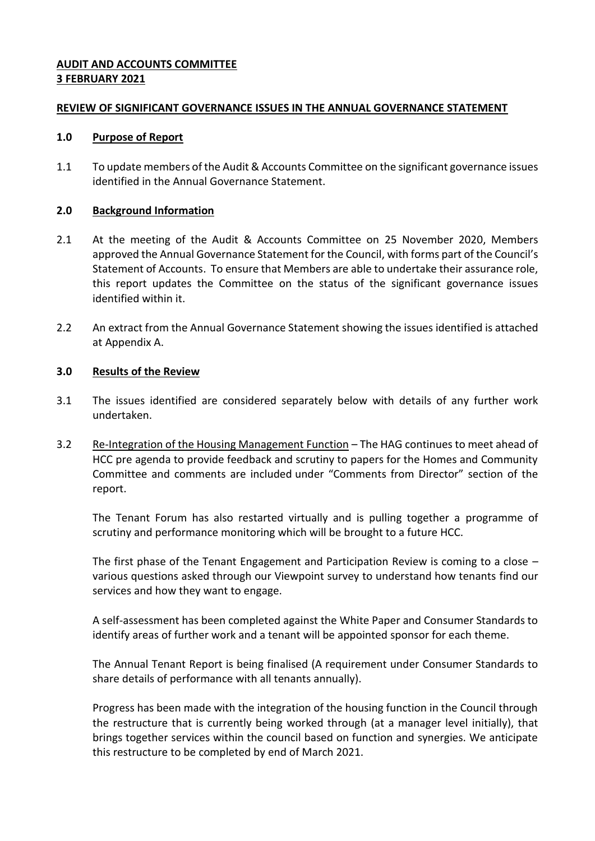## **AUDIT AND ACCOUNTS COMMITTEE 3 FEBRUARY 2021**

### **REVIEW OF SIGNIFICANT GOVERNANCE ISSUES IN THE ANNUAL GOVERNANCE STATEMENT**

#### **1.0 Purpose of Report**

1.1 To update members of the Audit & Accounts Committee on the significant governance issues identified in the Annual Governance Statement.

#### **2.0 Background Information**

- 2.1 At the meeting of the Audit & Accounts Committee on 25 November 2020, Members approved the Annual Governance Statement for the Council, with forms part of the Council's Statement of Accounts. To ensure that Members are able to undertake their assurance role, this report updates the Committee on the status of the significant governance issues identified within it.
- 2.2 An extract from the Annual Governance Statement showing the issues identified is attached at Appendix A.

### **3.0 Results of the Review**

- 3.1 The issues identified are considered separately below with details of any further work undertaken.
- 3.2 Re-Integration of the Housing Management Function The HAG continues to meet ahead of HCC pre agenda to provide feedback and scrutiny to papers for the Homes and Community Committee and comments are included under "Comments from Director" section of the report.

The Tenant Forum has also restarted virtually and is pulling together a programme of scrutiny and performance monitoring which will be brought to a future HCC.

The first phase of the Tenant Engagement and Participation Review is coming to a close – various questions asked through our Viewpoint survey to understand how tenants find our services and how they want to engage.

A self-assessment has been completed against the White Paper and Consumer Standards to identify areas of further work and a tenant will be appointed sponsor for each theme.

The Annual Tenant Report is being finalised (A requirement under Consumer Standards to share details of performance with all tenants annually).

Progress has been made with the integration of the housing function in the Council through the restructure that is currently being worked through (at a manager level initially), that brings together services within the council based on function and synergies. We anticipate this restructure to be completed by end of March 2021.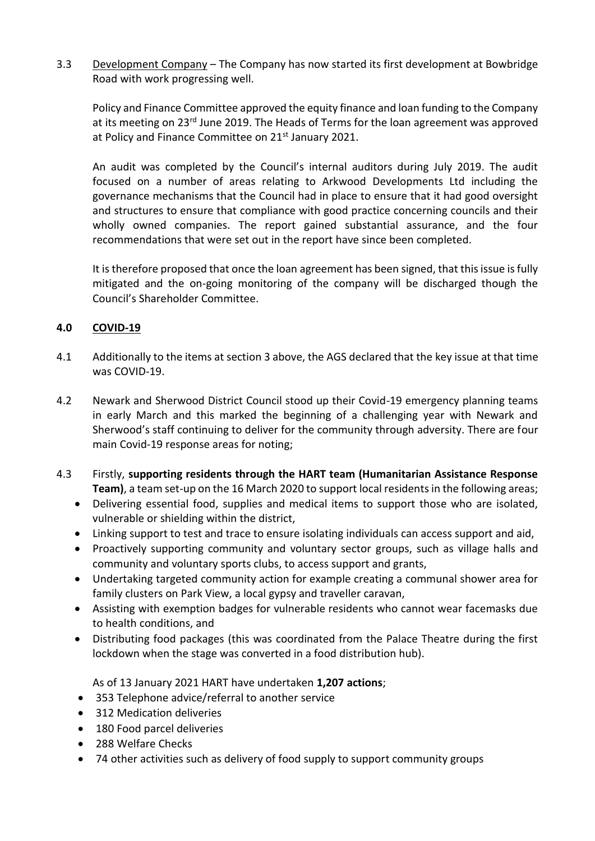3.3 Development Company – The Company has now started its first development at Bowbridge Road with work progressing well.

Policy and Finance Committee approved the equity finance and loan funding to the Company at its meeting on 23<sup>rd</sup> June 2019. The Heads of Terms for the loan agreement was approved at Policy and Finance Committee on 21<sup>st</sup> January 2021.

An audit was completed by the Council's internal auditors during July 2019. The audit focused on a number of areas relating to Arkwood Developments Ltd including the governance mechanisms that the Council had in place to ensure that it had good oversight and structures to ensure that compliance with good practice concerning councils and their wholly owned companies. The report gained substantial assurance, and the four recommendations that were set out in the report have since been completed.

It is therefore proposed that once the loan agreement has been signed, that this issue is fully mitigated and the on-going monitoring of the company will be discharged though the Council's Shareholder Committee.

# **4.0 COVID-19**

- 4.1 Additionally to the items at section 3 above, the AGS declared that the key issue at that time was COVID-19.
- 4.2 Newark and Sherwood District Council stood up their Covid-19 emergency planning teams in early March and this marked the beginning of a challenging year with Newark and Sherwood's staff continuing to deliver for the community through adversity. There are four main Covid-19 response areas for noting;
- 4.3 Firstly, **supporting residents through the HART team (Humanitarian Assistance Response Team)**, a team set-up on the 16 March 2020 to support local residents in the following areas;
	- Delivering essential food, supplies and medical items to support those who are isolated, vulnerable or shielding within the district,
	- Linking support to test and trace to ensure isolating individuals can access support and aid,
	- Proactively supporting community and voluntary sector groups, such as village halls and community and voluntary sports clubs, to access support and grants,
	- Undertaking targeted community action for example creating a communal shower area for family clusters on Park View, a local gypsy and traveller caravan,
	- Assisting with exemption badges for vulnerable residents who cannot wear facemasks due to health conditions, and
	- Distributing food packages (this was coordinated from the Palace Theatre during the first lockdown when the stage was converted in a food distribution hub).

As of 13 January 2021 HART have undertaken **1,207 actions**;

- 353 Telephone advice/referral to another service
- 312 Medication deliveries
- 180 Food parcel deliveries
- 288 Welfare Checks
- 74 other activities such as delivery of food supply to support community groups